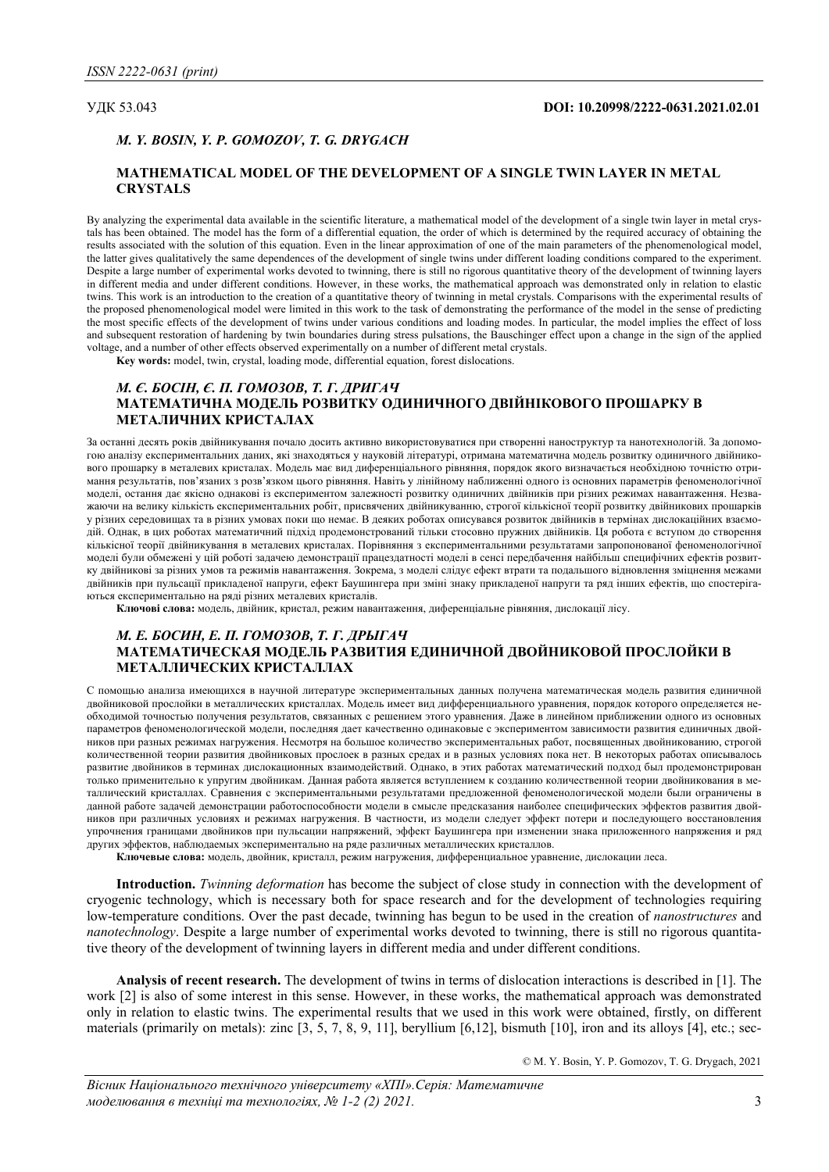# УДК 53.043 **DOI: 10.20998/2222-0631.2021.02.01**

## *М. Y. BOSIN, Y. P. GOMOZOV, Т. G. DRYGACH*

## **MATHEMATICAL MODEL OF THE DEVELOPMENT OF A SINGLE TWIN LAYER IN METAL CRYSTALS**

By analyzing the experimental data available in the scientific literature, a mathematical model of the development of a single twin layer in metal crystals has been obtained. The model has the form of a differential equation, the order of which is determined by the required accuracy of obtaining the results associated with the solution of this equation. Even in the linear approximation of one of the main parameters of the phenomenological model, the latter gives qualitatively the same dependences of the development of single twins under different loading conditions compared to the experiment. Despite a large number of experimental works devoted to twinning, there is still no rigorous quantitative theory of the development of twinning layers in different media and under different conditions. However, in these works, the mathematical approach was demonstrated only in relation to elastic twins. This work is an introduction to the creation of a quantitative theory of twinning in metal crystals. Comparisons with the experimental results of the proposed phenomenological model were limited in this work to the task of demonstrating the performance of the model in the sense of predicting the most specific effects of the development of twins under various conditions and loading modes. In particular, the model implies the effect of loss and subsequent restoration of hardening by twin boundaries during stress pulsations, the Bauschinger effect upon a change in the sign of the applied voltage, and a number of other effects observed experimentally on a number of different metal crystals.

**Key words:** model, twin, crystal, loading mode, differential equation, forest dislocations.

# *М. Є. БОСІН, Є. П. ГОМОЗОВ, Т. Г. ДРИГАЧ* **МАТЕМАТИЧНА МОДЕЛЬ РОЗВИТКУ ОДИНИЧНОГО ДВІЙНІКОВОГО ПРОШАРКУ В МЕТАЛИЧНИХ КРИСТАЛАХ**

За останні десять років двійникування почало досить активно використовуватися при створенні наноструктур та нанотехнологій. За допомогою аналізу експериментальних даних, які знаходяться у науковій літературі, отримана математична модель розвитку одиничного двійникового прошарку в металевих кристалах. Модель має вид диференціального рівняння, порядок якого визначається необхідною точністю отримання результатів, пов'язаних з розв'язком цього рівняння. Навіть у лінійному наближенні одного із основних параметрів феноменологічної моделі, остання дає якісно однакові із експериментом залежності розвитку одиничних двійників при різних режимах навантаження. Незважаючи на велику кількість експериментальних робіт, присвячених двійникуванню, строгої кількісної теорії розвитку двійникових прошарків у різних середовищах та в різних умовах поки що немає. В деяких роботах описувався розвиток двійників в термінах дислокаційних взаємодій. Однак, в цих роботах математичний підхід продемонстрований тільки стосовно пружних двійників. Ця робота є вступом до створення кількісної теорії двійникування в металевих кристалах. Порівняння з експериментальними результатами запропонованої феноменологічної моделі були обмежені у цій роботі задачею демонстрації працездатності моделі в сенсі передбачення найбільш специфічних ефектів розвитку двійникові за різних умов та режимів навантаження. Зокрема, з моделі слідує ефект втрати та подальшого відновлення зміцнення межами двійників при пульсації прикладеної напруги, ефект Баушингера при зміні знаку прикладеної напруги та ряд інших ефектів, що спостерігаються експериментально на ряді різних металевих кристалів.

**Ключові слова:** модель, двійник, кристал, режим навантаження, диференціальне рівняння, дислокації лісу.

## *М. Е. БОСИН, Е. П. ГОМОЗОВ, Т. Г. ДРЫГАЧ* **МАТЕМАТИЧЕСКАЯ МОДЕЛЬ РАЗВИТИЯ ЕДИНИЧНОЙ ДВОЙНИКОВОЙ ПРОСЛОЙКИ В МЕТАЛЛИЧЕСКИХ КРИСТАЛЛАХ**

С помощью анализа имеющихся в научной литературе экспериментальных данных получена математическая модель развития единичной двойниковой прослойки в металлических кристаллах. Модель имеет вид дифференциального уравнения, порядок которого определяется необходимой точностью получения результатов, связанных с решением этого уравнения. Даже в линейном приближении одного из основных параметров феноменологической модели, последняя дает качественно одинаковые с экспериментом зависимости развития единичных двойников при разных режимах нагружения. Несмотря на большое количество экспериментальных работ, посвященных двойникованию, строгой количественной теории развития двойниковых прослоек в разных средах и в разных условиях пока нет. В некоторых работах описывалось развитие двойников в терминах дислокационных взаимодействий. Однако, в этих работах математический подход был продемонстрирован только применительно к упругим двойникам. Данная работа является вступлением к созданию количественной теории двойникования в металлический кристаллах. Сравнения с экспериментальными результатами предложенной феноменологической модели были ограничены в данной работе задачей демонстрации работоспособности модели в смысле предсказания наиболее специфических эффектов развития двойников при различных условиях и режимах нагружения. В частности, из модели следует эффект потери и последующего восстановления упрочнения границами двойников при пульсации напряжений, эффект Баушингера при изменении знака приложенного напряжения и ряд других эффектов, наблюдаемых экспериментально на ряде различных металлических кристаллов.

**Ключевые слова:** модель, двойник, кристалл, режим нагружения, дифференциальное уравнение, дислокации леса.

**Introduction.** *Twinning deformation* has become the subject of close study in connection with the development of cryogenic technology, which is necessary both for space research and for the development of technologies requiring low-temperature conditions. Over the past decade, twinning has begun to be used in the creation of *nanostructures* and *nanotechnology*. Despite a large number of experimental works devoted to twinning, there is still no rigorous quantitative theory of the development of twinning layers in different media and under different conditions.

**Analysis of recent research.** The development of twins in terms of dislocation interactions is described in [1]. The work [2] is also of some interest in this sense. However, in these works, the mathematical approach was demonstrated only in relation to elastic twins. The experimental results that we used in this work were obtained, firstly, on different materials (primarily on metals): zinc [3, 5, 7, 8, 9, 11], beryllium [6,12], bismuth [10], iron and its alloys [4], etc.; sec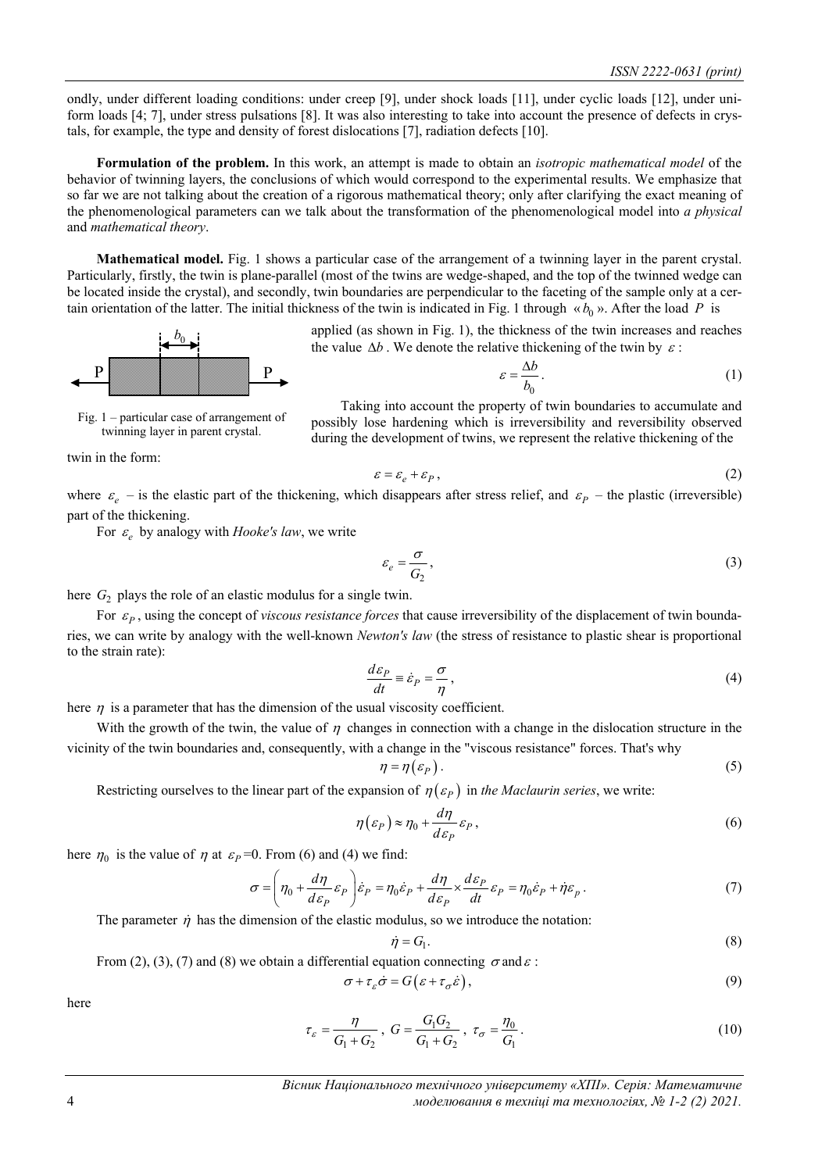ondly, under different loading conditions: under creep [9], under shock loads [11], under cyclic loads [12], under uniform loads [4; 7], under stress pulsations [8]. It was also interesting to take into account the presence of defects in crystals, for example, the type and density of forest dislocations [7], radiation defects [10].

**Formulation of the problem.** In this work, an attempt is made to obtain an *isotropic mathematical model* of the behavior of twinning layers, the conclusions of which would correspond to the experimental results. We emphasize that so far we are not talking about the creation of a rigorous mathematical theory; only after clarifying the exact meaning of the phenomenological parameters can we talk about the transformation of the phenomenological model into *a physical* and *mathematical theory*.

**Mathematical model.** Fig. 1 shows a particular case of the arrangement of a twinning layer in the parent crystal. Particularly, firstly, the twin is plane-parallel (most of the twins are wedge-shaped, and the top of the twinned wedge can be located inside the crystal), and secondly, twin boundaries are perpendicular to the faceting of the sample only at a certain orientation of the latter. The initial thickness of the twin is indicated in Fig. 1 through  $\alpha b_0$ ». After the load *P* is

> applied (as shown in Fig. 1), the thickness of the twin increases and reaches the value  $\Delta b$ . We denote the relative thickening of the twin by  $\varepsilon$ :

> > $\mathcal{E}$

$$
=\frac{\Delta b}{b_0}.
$$
 (1)



P **William Street Bank** P

Taking into account the property of twin boundaries to accumulate and possibly lose hardening which is irreversibility and reversibility observed during the development of twins, we represent the relative thickening of the

twin in the form:

$$
\varepsilon = \varepsilon_e + \varepsilon_p, \tag{2}
$$

where  $\varepsilon_{\rho}$  – is the elastic part of the thickening, which disappears after stress relief, and  $\varepsilon_{p}$  – the plastic (irreversible) part of the thickening.

For  $\varepsilon$ <sub>*e*</sub> by analogy with *Hooke's law*, we write

$$
\varepsilon_e = \frac{\sigma}{G_2},\tag{3}
$$

here  $G_2$  plays the role of an elastic modulus for a single twin.

For  $\varepsilon_p$ , using the concept of *viscous resistance forces* that cause irreversibility of the displacement of twin boundaries, we can write by analogy with the well-known *Newton's law* (the stress of resistance to plastic shear is proportional to the strain rate):

$$
\frac{d\varepsilon_p}{dt} \equiv \dot{\varepsilon}_p = \frac{\sigma}{\eta},\tag{4}
$$

here  $\eta$  is a parameter that has the dimension of the usual viscosity coefficient.

With the growth of the twin, the value of  $\eta$  changes in connection with a change in the dislocation structure in the vicinity of the twin boundaries and, consequently, with a change in the "viscous resistance" forces. That's why

$$
\eta = \eta \left( \varepsilon_P \right). \tag{5}
$$

Restricting ourselves to the linear part of the expansion of  $\eta(\varepsilon_p)$  in *the Maclaurin series*, we write:

$$
\eta(\varepsilon_P) \approx \eta_0 + \frac{d\eta}{d\varepsilon_P} \varepsilon_P, \tag{6}
$$

here  $\eta_0$  is the value of  $\eta$  at  $\varepsilon_p = 0$ . From (6) and (4) we find:

$$
\sigma = \left(\eta_0 + \frac{d\eta}{d\varepsilon_P} \varepsilon_P\right) \dot{\varepsilon}_P = \eta_0 \dot{\varepsilon}_P + \frac{d\eta}{d\varepsilon_P} \times \frac{d\varepsilon_P}{dt} \varepsilon_P = \eta_0 \dot{\varepsilon}_P + \dot{\eta} \varepsilon_p \,. \tag{7}
$$

The parameter  $\dot{\eta}$  has the dimension of the elastic modulus, so we introduce the notation:

$$
\dot{\eta} = G_1. \tag{8}
$$

From (2), (3), (7) and (8) we obtain a differential equation connecting  $\sigma$  and  $\varepsilon$ :

$$
\sigma + \tau_{\varepsilon} \dot{\sigma} = G(\varepsilon + \tau_{\sigma} \dot{\varepsilon}),\tag{9}
$$

here

$$
\tau_{\varepsilon} = \frac{\eta}{G_1 + G_2}, \ G = \frac{G_1 G_2}{G_1 + G_2}, \ \tau_{\sigma} = \frac{\eta_0}{G_1}.
$$
\n(10)

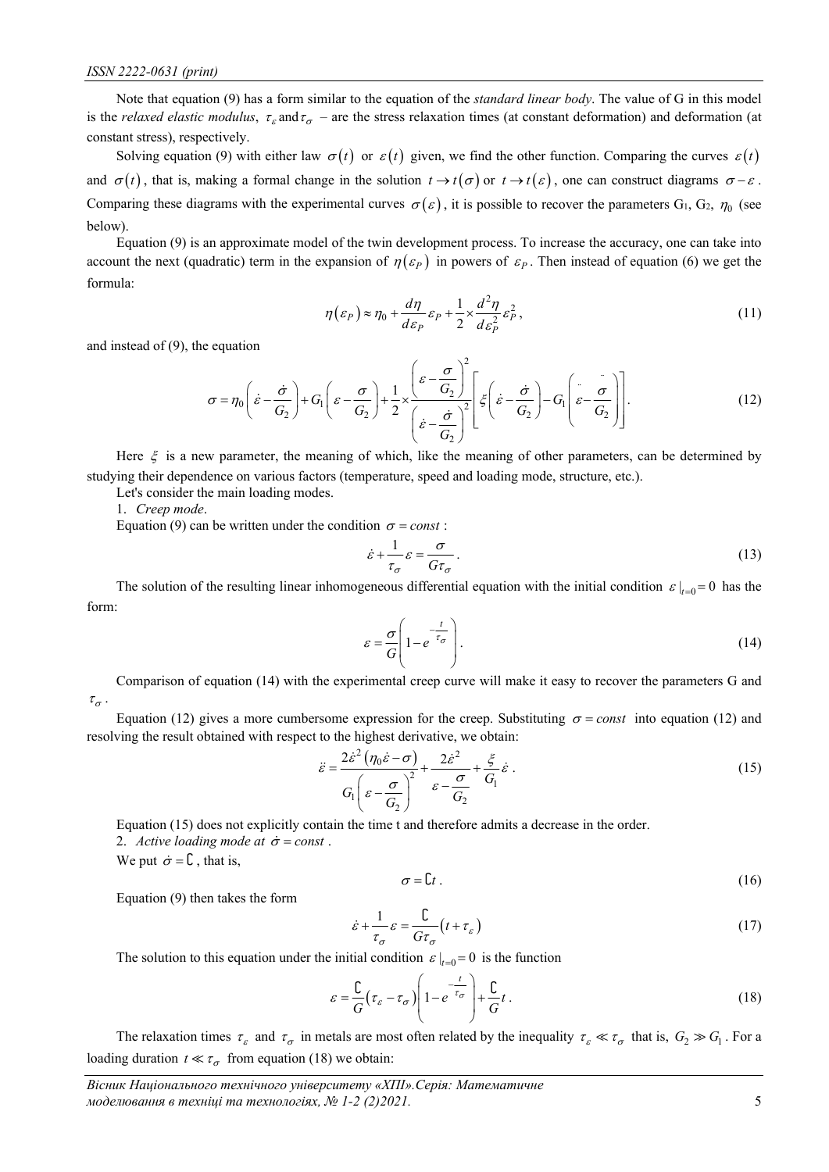Note that equation (9) has a form similar to the equation of the *standard linear body*. The value of G in this model is the *relaxed elastic modulus*,  $\tau_{\varepsilon}$  and  $\tau_{\sigma}$  – are the stress relaxation times (at constant deformation) and deformation (at constant stress), respectively.

Solving equation (9) with either law  $\sigma(t)$  or  $\varepsilon(t)$  given, we find the other function. Comparing the curves  $\varepsilon(t)$ and  $\sigma(t)$ , that is, making a formal change in the solution  $t \to t(\sigma)$  or  $t \to t(\varepsilon)$ , one can construct diagrams  $\sigma - \varepsilon$ . Comparing these diagrams with the experimental curves  $\sigma(\varepsilon)$ , it is possible to recover the parameters G<sub>1</sub>, G<sub>2</sub>,  $\eta_0$  (see below).

Equation (9) is an approximate model of the twin development process. To increase the accuracy, one can take into account the next (quadratic) term in the expansion of  $\eta(\varepsilon_p)$  in powers of  $\varepsilon_p$ . Then instead of equation (6) we get the formula:

$$
\eta(\varepsilon_P) \approx \eta_0 + \frac{d\eta}{d\varepsilon_P} \varepsilon_P + \frac{1}{2} \times \frac{d^2\eta}{d\varepsilon_P^2} \varepsilon_P^2, \tag{11}
$$

and instead of (9), the equation

$$
\sigma = \eta_0 \left( \dot{\varepsilon} - \frac{\dot{\sigma}}{G_2} \right) + G_1 \left( \varepsilon - \frac{\sigma}{G_2} \right) + \frac{1}{2} \times \left( \frac{\varepsilon - \frac{\sigma}{G_2}}{\left( \dot{\varepsilon} - \frac{\dot{\sigma}}{G_2} \right)^2} \left[ \xi \left( \dot{\varepsilon} - \frac{\dot{\sigma}}{G_2} \right) - G_1 \left( \dot{\varepsilon} - \frac{\dot{\sigma}}{G_2} \right) \right].
$$
\n(12)

Here  $\xi$  is a new parameter, the meaning of which, like the meaning of other parameters, can be determined by studying their dependence on various factors (temperature, speed and loading mode, structure, etc.).

Let's consider the main loading modes.

1. *Creep mode*.

Equation (9) can be written under the condition  $\sigma = const$ :

$$
\dot{\varepsilon} + \frac{1}{\tau_{\sigma}} \varepsilon = \frac{\sigma}{G\tau_{\sigma}}.
$$
\n(13)

The solution of the resulting linear inhomogeneous differential equation with the initial condition  $\varepsilon |_{t=0} = 0$  has the form:

$$
\varepsilon = \frac{\sigma}{G} \left( 1 - e^{-\frac{t}{\tau_{\sigma}}} \right). \tag{14}
$$

Comparison of equation (14) with the experimental creep curve will make it easy to recover the parameters G and  $\tau_{\sigma}$ .

Equation (12) gives a more cumbersome expression for the creep. Substituting  $\sigma = const$  into equation (12) and resolving the result obtained with respect to the highest derivative, we obtain:

$$
\ddot{\varepsilon} = \frac{2\dot{\varepsilon}^2 \left(\eta_0 \dot{\varepsilon} - \sigma\right)}{G_1 \left(\varepsilon - \frac{\sigma}{G_2}\right)^2} + \frac{2\dot{\varepsilon}^2}{\varepsilon - \frac{\sigma}{G_2}} + \frac{\xi}{G_1} \dot{\varepsilon} \,. \tag{15}
$$

Equation (15) does not explicitly contain the time t and therefore admits a decrease in the order.

2. *Active loading mode at*  $\dot{\sigma}$  = const.

We put  $\dot{\sigma} = \mathbf{C}$ , that is,

$$
\sigma = \mathcal{C}t \tag{16}
$$

Equation (9) then takes the form

$$
\dot{\varepsilon} + \frac{1}{\tau_{\sigma}} \varepsilon = \frac{\mathbb{C}}{G\tau_{\sigma}} \left( t + \tau_{\varepsilon} \right) \tag{17}
$$

The solution to this equation under the initial condition  $\varepsilon |_{t=0} = 0$  is the function

$$
\varepsilon = \frac{C}{G} \left( \tau_{\varepsilon} - \tau_{\sigma} \right) \left( 1 - e^{-\frac{t}{\tau_{\sigma}}} \right) + \frac{C}{G} t \,. \tag{18}
$$

The relaxation times  $\tau_{\varepsilon}$  and  $\tau_{\sigma}$  in metals are most often related by the inequality  $\tau_{\varepsilon} \ll \tau_{\sigma}$  that is,  $G_2 \gg G_1$ . For a loading duration  $t \ll \tau_{\sigma}$  from equation (18) we obtain: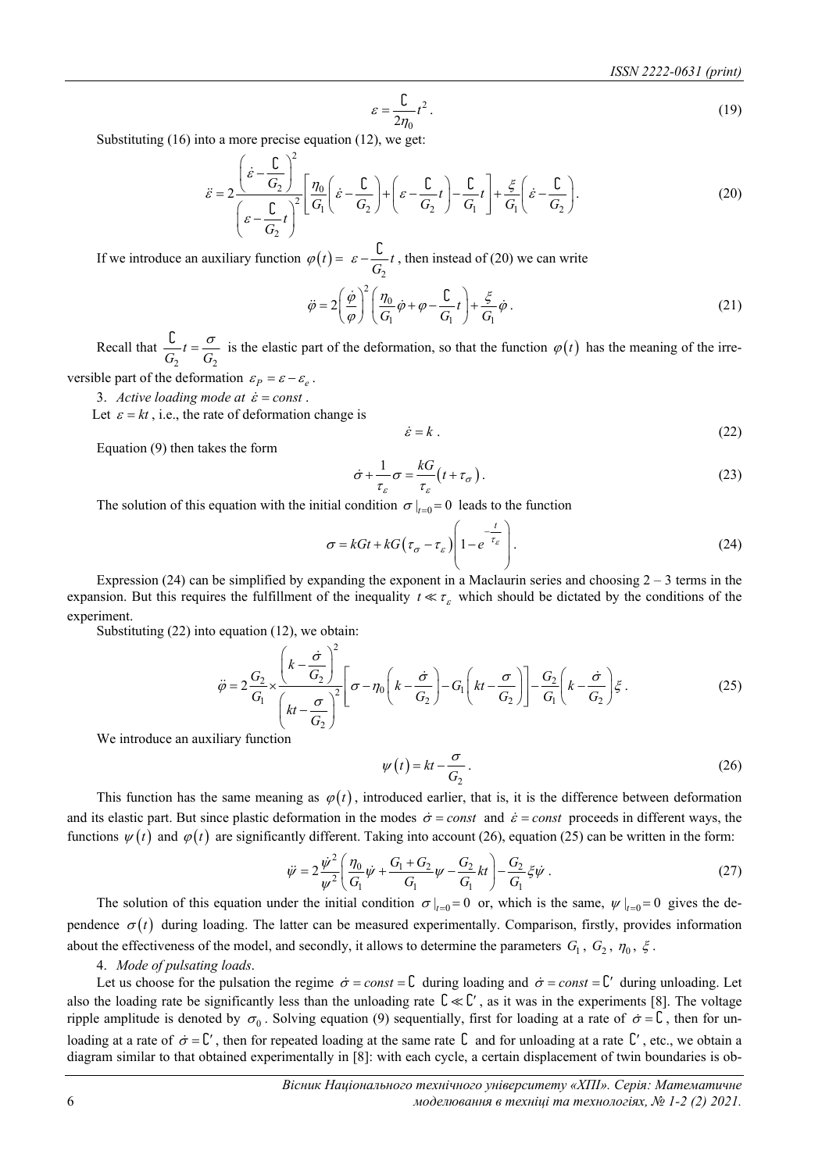$$
\varepsilon = \frac{C}{2\eta_0} t^2 \,. \tag{19}
$$

Substituting (16) into a more precise equation (12), we get:

$$
\ddot{\varepsilon} = 2 \frac{\left(\dot{\varepsilon} - \frac{\mathcal{L}}{G_2}\right)^2}{\left(\varepsilon - \frac{\mathcal{L}}{G_2}t\right)^2} \left[\frac{\eta_0}{G_1}\left(\dot{\varepsilon} - \frac{\mathcal{L}}{G_2}\right) + \left(\varepsilon - \frac{\mathcal{L}}{G_2}t\right) - \frac{\mathcal{L}}{G_1}t\right] + \frac{\xi}{G_1}\left(\dot{\varepsilon} - \frac{\mathcal{L}}{G_2}\right). \tag{20}
$$

If we introduce an auxiliary function  $\varphi(t)$ 2  $\varphi(t) = \varepsilon - \frac{\mathcal{C}}{G_2}t$ , then instead of (20) we can write

> 2  $\overline{0}$  $V_1$   $V_1$   $V_1$  $\ddot{\varphi} = 2 \left( \frac{\dot{\varphi}}{\varphi} \right)^2 \left( \frac{\eta_0}{G_1} \dot{\varphi} + \varphi - \frac{C}{G_1} t \right) + \frac{\xi}{G_1} \dot{\varphi}$  $\ddot{\varphi} = 2\left(\frac{\dot{\varphi}}{\varphi}\right)^{2}\left(\frac{\eta_{0}}{G_{1}}\dot{\varphi} + \varphi - \frac{C}{G_{1}}t\right) + \frac{\xi}{G_{1}}\dot{\varphi}.$ (21)

Recall that 2  $\mathbf{U}_2$  $\frac{C}{G_2}t = \frac{\sigma}{G_2}$  is the elastic part of the deformation, so that the function  $\varphi(t)$  has the meaning of the irre-

versible part of the deformation  $\varepsilon_p = \varepsilon - \varepsilon_e$ .

3. *Active loading mode at*  $\dot{\varepsilon}$  = const.

Let  $\varepsilon = kt$ , i.e., the rate of deformation change is

$$
\dot{\varepsilon} = k \tag{22}
$$

Equation (9) then takes the form

$$
\dot{\sigma} + \frac{1}{\tau_{\varepsilon}} \sigma = \frac{kG}{\tau_{\varepsilon}} \left( t + \tau_{\sigma} \right). \tag{23}
$$

The solution of this equation with the initial condition  $\sigma |_{t=0} = 0$  leads to the function

$$
\sigma = kGt + kG\left(\tau_{\sigma} - \tau_{\varepsilon}\right) \left(1 - e^{-\frac{t}{\tau_{\varepsilon}}}\right). \tag{24}
$$

Expression (24) can be simplified by expanding the exponent in a Maclaurin series and choosing  $2 - 3$  terms in the expansion. But this requires the fulfillment of the inequality  $t \ll \tau_{\varepsilon}$  which should be dictated by the conditions of the experiment.

Substituting (22) into equation (12), we obtain:

$$
\ddot{\varphi} = 2 \frac{G_2}{G_1} \times \left(\frac{k - \frac{\dot{\sigma}}{G_2}}{kt - \frac{\sigma}{G_2}}\right)^2 \left[\sigma - \eta_0 \left(k - \frac{\dot{\sigma}}{G_2}\right) - G_1 \left(kt - \frac{\sigma}{G_2}\right)\right] - \frac{G_2}{G_1} \left(k - \frac{\dot{\sigma}}{G_2}\right) \xi.
$$
\n(25)

We introduce an auxiliary function

$$
\psi(t) = kt - \frac{\sigma}{G_2} \,. \tag{26}
$$

This function has the same meaning as  $\varphi(t)$ , introduced earlier, that is, it is the difference between deformation and its elastic part. But since plastic deformation in the modes  $\dot{\sigma} = const$  and  $\dot{\varepsilon} = const$  proceeds in different ways, the functions  $\psi(t)$  and  $\varphi(t)$  are significantly different. Taking into account (26), equation (25) can be written in the form:

$$
\ddot{\psi} = 2 \frac{\dot{\psi}^2}{\psi^2} \left( \frac{\eta_0}{G_1} \dot{\psi} + \frac{G_1 + G_2}{G_1} \psi - \frac{G_2}{G_1} k t \right) - \frac{G_2}{G_1} \xi \dot{\psi} \,. \tag{27}
$$

The solution of this equation under the initial condition  $\sigma |_{t=0} = 0$  or, which is the same,  $\psi |_{t=0} = 0$  gives the dependence  $\sigma(t)$  during loading. The latter can be measured experimentally. Comparison, firstly, provides information about the effectiveness of the model, and secondly, it allows to determine the parameters  $G_1$ ,  $G_2$ ,  $\eta_0$ ,  $\xi$ .

## 4. *Mode of pulsating loads*.

Let us choose for the pulsation the regime  $\dot{\sigma} = const = \mathbf{C}$  during loading and  $\dot{\sigma} = const = \mathbf{C}'$  during unloading. Let also the loading rate be significantly less than the unloading rate  $\mathcal{L} \ll \mathcal{L}'$ , as it was in the experiments [8]. The voltage ripple amplitude is denoted by  $\sigma_0$ . Solving equation (9) sequentially, first for loading at a rate of  $\dot{\sigma} = \mathcal{L}$ , then for unloading at a rate of  $\dot{\sigma} = C'$ , then for repeated loading at the same rate  $C$  and for unloading at a rate  $C'$ , etc., we obtain a diagram similar to that obtained experimentally in [8]: with each cycle, a certain displacement of twin boundaries is ob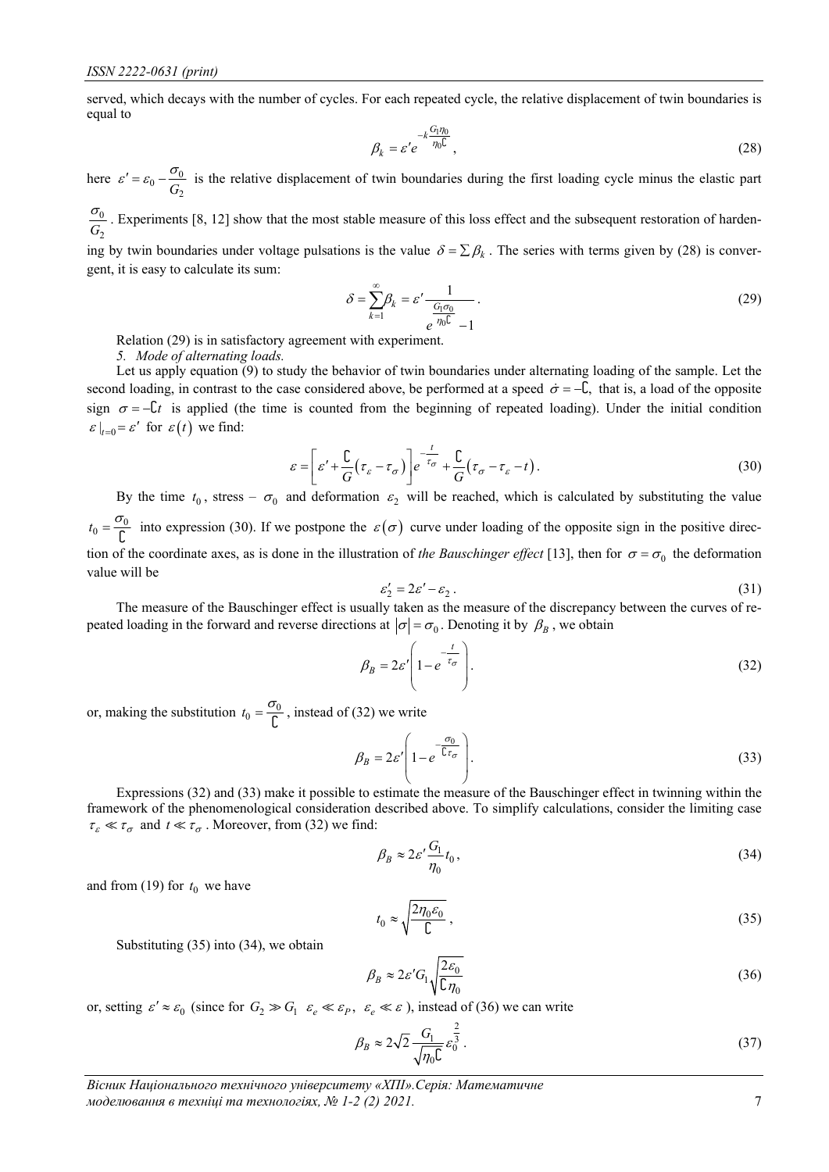served, which decays with the number of cycles. For each repeated cycle, the relative displacement of twin boundaries is equal to

$$
\beta_k = \varepsilon' e^{-k \frac{G_1 \eta_0}{\eta_0 \mathbb{C}}},\tag{28}
$$

here  $\varepsilon' = \varepsilon_0 - \frac{\omega_0}{G_2}$  $\epsilon' = \epsilon_0 - \frac{\sigma_0}{\sigma}$  is the relative displacement of twin boundaries during the first loading cycle minus the elastic part

 $\boldsymbol{0}$  $G<sub>2</sub>$  $\frac{\sigma_0}{\sigma}$ . Experiments [8, 12] show that the most stable measure of this loss effect and the subsequent restoration of harden-

ing by twin boundaries under voltage pulsations is the value  $\delta = \sum \beta_k$ . The series with terms given by (28) is convergent, it is easy to calculate its sum:

$$
\delta = \sum_{k=1}^{\infty} \beta_k = \varepsilon' \frac{1}{\frac{G_1 \sigma_0}{e^{-\eta_0 C}} - 1}.
$$
\n(29)

Relation (29) is in satisfactory agreement with experiment.

*5. Mode of alternating loads.*

Let us apply equation  $(9)$  to study the behavior of twin boundaries under alternating loading of the sample. Let the second loading, in contrast to the case considered above, be performed at a speed  $\dot{\sigma} = -\hat{\mathsf{L}}$ , that is, a load of the opposite sign  $\sigma = -\mathcal{L}t$  is applied (the time is counted from the beginning of repeated loading). Under the initial condition  $\varepsilon \big|_{t=0} = \varepsilon'$  for  $\varepsilon(t)$  we find:

$$
\varepsilon = \left[\varepsilon' + \frac{C}{G}(\tau_{\varepsilon} - \tau_{\sigma})\right] e^{-\frac{t}{\tau_{\sigma}}} + \frac{C}{G}(\tau_{\sigma} - \tau_{\varepsilon} - t).
$$
\n(30)

By the time  $t_0$ , stress –  $\sigma_0$  and deformation  $\varepsilon_2$  will be reached, which is calculated by substituting the value  $t_0 = \frac{\sigma_0}{C}$  into expression (30). If we postpone the  $\varepsilon(\sigma)$  curve under loading of the opposite sign in the positive direction of the coordinate axes, as is done in the illustration of *the Bauschinger effect* [13], then for  $\sigma = \sigma_0$  the deformation value will be

$$
\varepsilon_2' = 2\varepsilon' - \varepsilon_2 \,. \tag{31}
$$

The measure of the Bauschinger effect is usually taken as the measure of the discrepancy between the curves of repeated loading in the forward and reverse directions at  $|\sigma| = \sigma_0$ . Denoting it by  $\beta_B$ , we obtain

$$
\beta_B = 2\varepsilon' \left( 1 - e^{-\frac{t}{\tau_\sigma}} \right). \tag{32}
$$

or, making the substitution  $t_0 = \frac{\sigma_0}{C}$ , instead of (32) we write

$$
\beta_B = 2\varepsilon' \left( 1 - e^{-\frac{\sigma_0}{\mathbb{C}\tau_\sigma}} \right). \tag{33}
$$

Expressions (32) and (33) make it possible to estimate the measure of the Bauschinger effect in twinning within the framework of the phenomenological consideration described above. To simplify calculations, consider the limiting case  $\tau_{\varepsilon} \ll \tau_{\sigma}$  and  $t \ll \tau_{\sigma}$ . Moreover, from (32) we find:

$$
\beta_B \approx 2\varepsilon' \frac{G_1}{\eta_0} t_0,\tag{34}
$$

and from (19) for  $t_0$  we have

$$
t_0 \approx \sqrt{\frac{2\eta_0 \varepsilon_0}{\mathcal{L}}},\tag{35}
$$

Substituting (35) into (34), we obtain

$$
\beta_B \approx 2\varepsilon' G_1 \sqrt{\frac{2\varepsilon_0}{\Gamma \eta_0}}\tag{36}
$$

or, setting  $\varepsilon' \approx \varepsilon_0$  (since for  $G_2 \gg G_1$   $\varepsilon_e \ll \varepsilon_p$ ,  $\varepsilon_e \ll \varepsilon$ ), instead of (36) we can write

$$
\beta_B \approx 2\sqrt{2} \frac{G_1}{\sqrt{\eta_0 \mathsf{C}}} \varepsilon_0^{\frac{2}{3}}.
$$
\n(37)

*Вісник Національного технічного університету «ХПІ».Серія: Математичне моделювання в техніці та технологіях, № 1-2 (2) 2021.* 7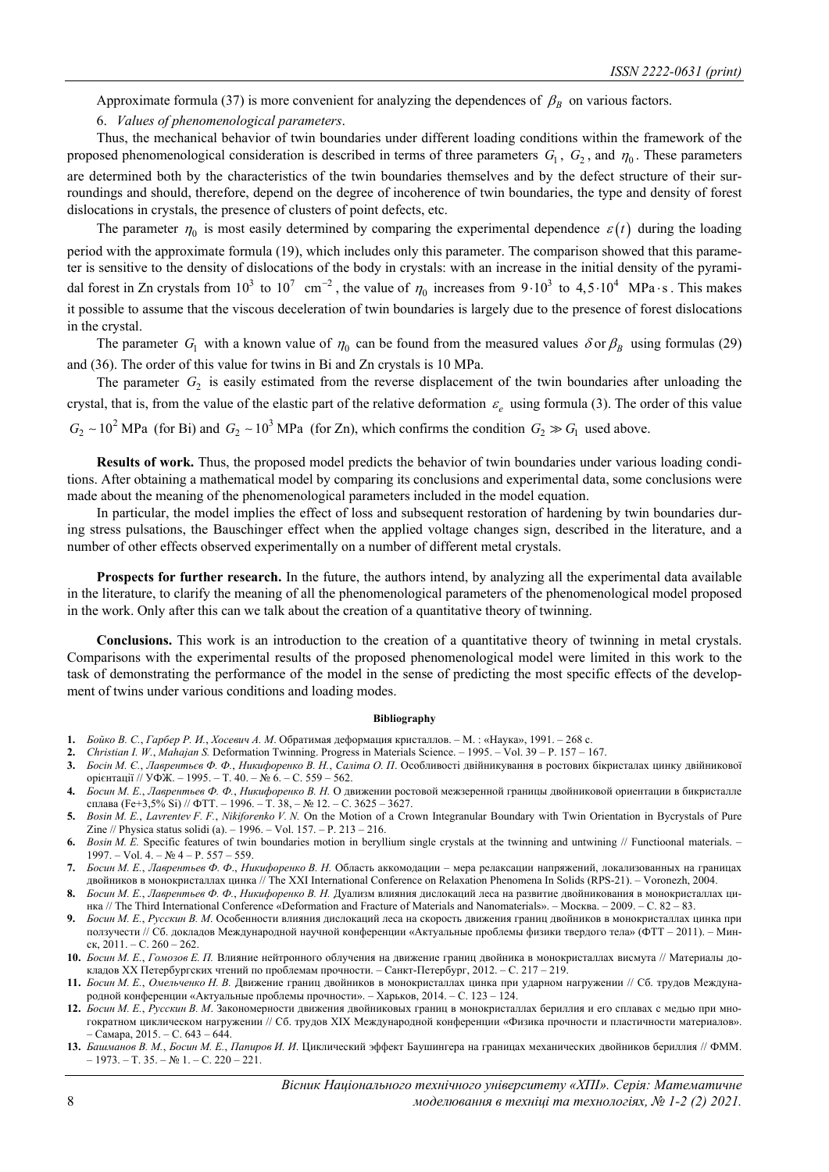Approximate formula (37) is more convenient for analyzing the dependences of  $\beta_B$  on various factors.

6. *Values of phenomenological parameters*.

Thus, the mechanical behavior of twin boundaries under different loading conditions within the framework of the proposed phenomenological consideration is described in terms of three parameters  $G_1$ ,  $G_2$ , and  $\eta_0$ . These parameters are determined both by the characteristics of the twin boundaries themselves and by the defect structure of their surroundings and should, therefore, depend on the degree of incoherence of twin boundaries, the type and density of forest dislocations in crystals, the presence of clusters of point defects, etc.

The parameter  $\eta_0$  is most easily determined by comparing the experimental dependence  $\varepsilon(t)$  during the loading period with the approximate formula (19), which includes only this parameter. The comparison showed that this parameter is sensitive to the density of dislocations of the body in crystals: with an increase in the initial density of the pyramidal forest in Zn crystals from  $10^3$  to  $10^7$  cm<sup>-2</sup>, the value of  $\eta_0$  increases from  $9 \cdot 10^3$  to  $4,5 \cdot 10^4$  MPa $\cdot$ s. This makes it possible to assume that the viscous deceleration of twin boundaries is largely due to the presence of forest dislocations in the crystal.

The parameter  $G_1$  with a known value of  $\eta_0$  can be found from the measured values  $\delta$  or  $\beta_B$  using formulas (29) and (36). The order of this value for twins in Bi and Zn crystals is 10 MPa.

The parameter  $G_2$  is easily estimated from the reverse displacement of the twin boundaries after unloading the crystal, that is, from the value of the elastic part of the relative deformation  $\varepsilon$  using formula (3). The order of this value  $G_2 \sim 10^2$  MPa (for Bi) and  $G_2 \sim 10^3$  MPa (for Zn), which confirms the condition  $G_2 \gg G_1$  used above.

**Results of work.** Thus, the proposed model predicts the behavior of twin boundaries under various loading conditions. After obtaining a mathematical model by comparing its conclusions and experimental data, some conclusions were made about the meaning of the phenomenological parameters included in the model equation.

In particular, the model implies the effect of loss and subsequent restoration of hardening by twin boundaries during stress pulsations, the Bauschinger effect when the applied voltage changes sign, described in the literature, and a number of other effects observed experimentally on a number of different metal crystals.

**Prospects for further research.** In the future, the authors intend, by analyzing all the experimental data available in the literature, to clarify the meaning of all the phenomenological parameters of the phenomenological model proposed in the work. Only after this can we talk about the creation of a quantitative theory of twinning.

**Conclusions.** This work is an introduction to the creation of a quantitative theory of twinning in metal crystals. Comparisons with the experimental results of the proposed phenomenological model were limited in this work to the task of demonstrating the performance of the model in the sense of predicting the most specific effects of the development of twins under various conditions and loading modes.

#### **Bibliography**

- **1.** *Бойко В. С.*, *Гарбер Р. И.*, *Хосевич А. М*. Обратимая деформация кристаллов. М. : «Наука», 1991. 268 с.
- **2.** *Christian I. W.*, *Mahajan S.* Deformation Twinning. Progress in Materials Science. 1995. Vol. 39 P. 157 167.
- 3. Босін М. Є., Лаврентьєв Ф. Ф., Никифоренко В. Н., Саліта О. П. Особливості двійникування в ростових бікристалах цинку двійникової орієнтації // УФЖ. – 1995. – Т. 40. – № 6. – С. 559 – 562.
- Босин М. Е., Лаврентьев Ф. Ф., Никифоренко В. Н. О движении ростовой межзеренной границы двойниковой ориентации в бикристалле сплава (Fe+3,5% Si) // ФТТ. – 1996. – Т. 38, – № 12. – С. 3625 – 3627.
- **5.** *Bosin M. E.*, *Lavrentev F. F.*, *Nikiforenko V. N.* On the Motion of a Crown Integranular Boundary with Twin Orientation in Bycrystals of Pure Zine // Physica status solidi (a). – 1996. – Vol. 157. – P. 213 – 216.
- **6.** *Bosin M. E.* Specific features of twin boundaries motion in beryllium single crystals at the twinning and untwining // Functioonal materials. 1997. – Vol. 4. – № 4 – P. 557 – 559.
- 7. Босин М. Е., Лаврентьев Ф. Ф., Никифоренко В. Н. Область аккомодации мера релаксации напряжений, локализованных на границах двойников в монокристаллах цинка // The XXI International Conference on Relaxation Phenomena In Solids (RPS-21). – Voronezh, 2004.
- 8. Босин М. Е., Лаврентьев Ф. Ф., Никифоренко В. Н. Дуализм влияния дислокаций леса на развитие двойникования в монокристаллах цинка // The Third International Conference «Deformation and Fracture of Materials and Nanomaterials». – Москва. – 2009. – С. 82 – 83.
- **9.** *Босин М. Е.*, *Русскин В. М*. Особенности влияния дислокаций леса на скорость движения границ двойников в монокристаллах цинка при ползучести // Сб. докладов Международной научной конференции «Актуальные проблемы физики твердого тела» (ФТТ – 2011). – Минск, 2011. – С. 260 – 262.
- **10.** *Босин М. Е.*, *Гомозов Е. П.* Влияние нейтронного облучения на движение границ двойника в монокристаллах висмута // Материалы докладов ХХ Петербургских чтений по проблемам прочности. – Санкт-Петербург, 2012. – С. 217 – 219.
- **11.** *Босин М. Е.*, *Омельченко Н. В.* Движение границ двойников в монокристаллах цинка при ударном нагружении // Сб. трудов Международной конференции «Актуальные проблемы прочности». – Харьков, 2014. – С. 123 – 124.
- **12.** *Босин М. Е.*, *Русскин В. М*. Закономерности движения двойниковых границ в монокристаллах бериллия и его сплавах с медью при многократном циклическом нагружении // Сб. трудов XIX Международной конференции «Физика прочности и пластичности материалов». – Самара, 2015. – С. 643 – 644.
- 13. Башманов В. М., Босин М. Е., Папиров И. И. Циклический эффект Баушингера на границах механических двойников бериллия // ФММ.  $-1973. - T. 35. - N₂ 1. - C. 220 - 221.$